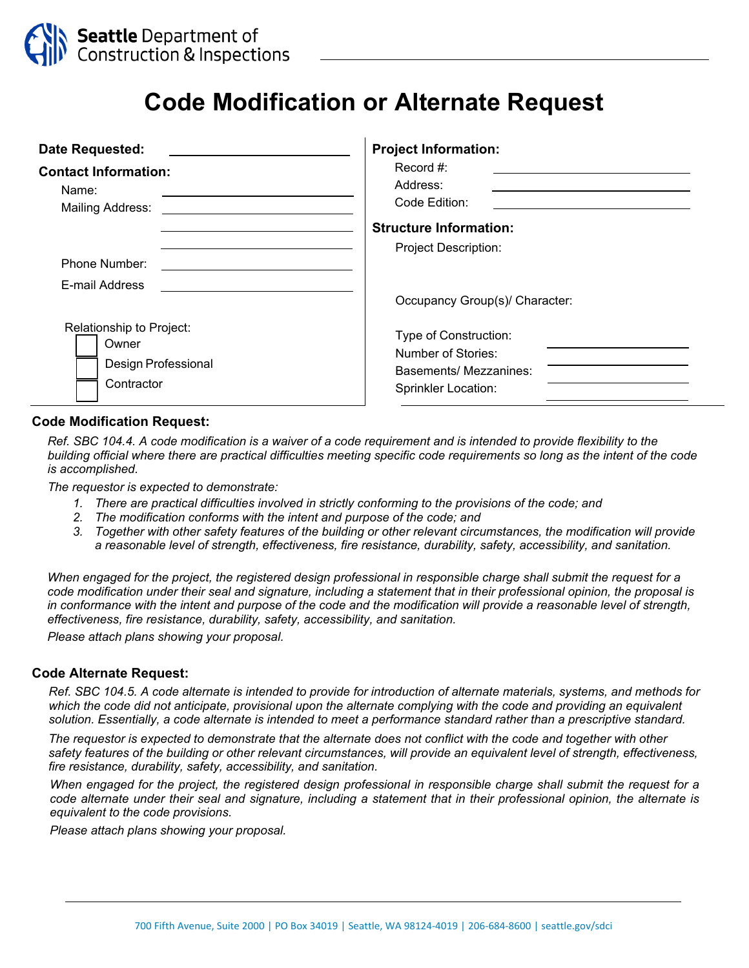

## **Code Modification or Alternate Request**

| Date Requested:                                                 | <b>Project Information:</b>                                             |
|-----------------------------------------------------------------|-------------------------------------------------------------------------|
| <b>Contact Information:</b><br>Name:<br><b>Mailing Address:</b> | Record #:<br>Address:<br>Code Edition:<br><b>Structure Information:</b> |
| Phone Number:                                                   | <b>Project Description:</b>                                             |
| E-mail Address                                                  | Occupancy Group(s)/ Character:                                          |
| Relationship to Project:                                        | Type of Construction:                                                   |
| Owner                                                           | Number of Stories:                                                      |
| Design Professional                                             | Basements/ Mezzanines:                                                  |
| Contractor                                                      | <b>Sprinkler Location:</b>                                              |

## **Code Modification Request:**

*Ref. SBC 104.4. A code modification is a waiver of a code requirement and is intended to provide flexibility to the building official where there are practical difficulties meeting specific code requirements so long as the intent of the code is accomplished.* 

*The requestor is expected to demonstrate:* 

- *1. There are practical difficulties involved in strictly conforming to the provisions of the code; and*
- *2. The modification conforms with the intent and purpose of the code; and*
- 3. Together with other safety features of the building or other relevant circumstances, the modification will provide *a reasonable level of strength, effectiveness, fire resistance, durability, safety, accessibility, and sanitation.*

*When engaged for the project, the registered design professional in responsible charge shall submit the request for a code modification under their seal and signature, including a statement that in their professional opinion, the proposal is in conformance with the intent and purpose of the code and the modification will provide a reasonable level of strength, effectiveness, fire resistance, durability, safety, accessibility, and sanitation.* 

*Please attach plans showing your proposal.*

## **Code Alternate Request:**

*Ref. SBC 104.5. A code alternate is intended to provide for introduction of alternate materials, systems, and methods for which the code did not anticipate, provisional upon the alternate complying with the code and providing an equivalent solution. Essentially, a code alternate is intended to meet a performance standard rather than a prescriptive standard.* 

*The requestor is expected to demonstrate that the alternate does not conflict with the code and together with other safety features of the building or other relevant circumstances, will provide an equivalent level of strength, effectiveness, fire resistance, durability, safety, accessibility, and sanitation.* 

*When engaged for the project, the registered design professional in responsible charge shall submit the request for a code alternate under their seal and signature, including a statement that in their professional opinion, the alternate is equivalent to the code provisions.* 

*Please attach plans showing your proposal.*